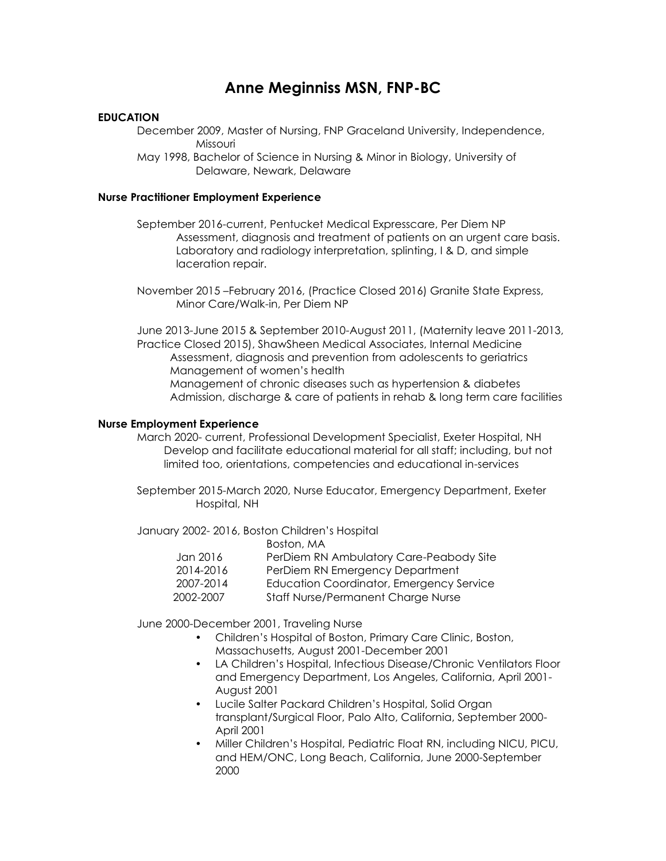# **Anne Meginniss MSN, FNP-BC**

## **EDUCATION**

- December 2009, Master of Nursing, FNP Graceland University, Independence, Missouri
- May 1998, Bachelor of Science in Nursing & Minor in Biology, University of Delaware, Newark, Delaware

### **Nurse Practitioner Employment Experience**

- September 2016-current, Pentucket Medical Expresscare, Per Diem NP Assessment, diagnosis and treatment of patients on an urgent care basis. Laboratory and radiology interpretation, splinting, I & D, and simple laceration repair.
- November 2015 –February 2016, (Practice Closed 2016) Granite State Express, Minor Care/Walk-in, Per Diem NP

June 2013-June 2015 & September 2010-August 2011, (Maternity leave 2011-2013, Practice Closed 2015), ShawSheen Medical Associates, Internal Medicine Assessment, diagnosis and prevention from adolescents to geriatrics Management of women's health Management of chronic diseases such as hypertension & diabetes Admission, discharge & care of patients in rehab & long term care facilities

#### **Nurse Employment Experience**

March 2020- current, Professional Development Specialist, Exeter Hospital, NH Develop and facilitate educational material for all staff; including, but not limited too, orientations, competencies and educational in-services

September 2015-March 2020, Nurse Educator, Emergency Department, Exeter Hospital, NH

January 2002- 2016, Boston Children's Hospital

| Boston, MA                                      |
|-------------------------------------------------|
| PerDiem RN Ambulatory Care-Peabody Site         |
| PerDiem RN Emergency Department                 |
| <b>Education Coordinator, Emergency Service</b> |
| Staff Nurse/Permanent Charge Nurse              |
|                                                 |

June 2000-December 2001, Traveling Nurse

- Children's Hospital of Boston, Primary Care Clinic, Boston, Massachusetts, August 2001-December 2001
- LA Children's Hospital, Infectious Disease/Chronic Ventilators Floor and Emergency Department, Los Angeles, California, April 2001- August 2001
- Lucile Salter Packard Children's Hospital, Solid Organ transplant/Surgical Floor, Palo Alto, California, September 2000- April 2001
- Miller Children's Hospital, Pediatric Float RN, including NICU, PICU, and HEM/ONC, Long Beach, California, June 2000-September 2000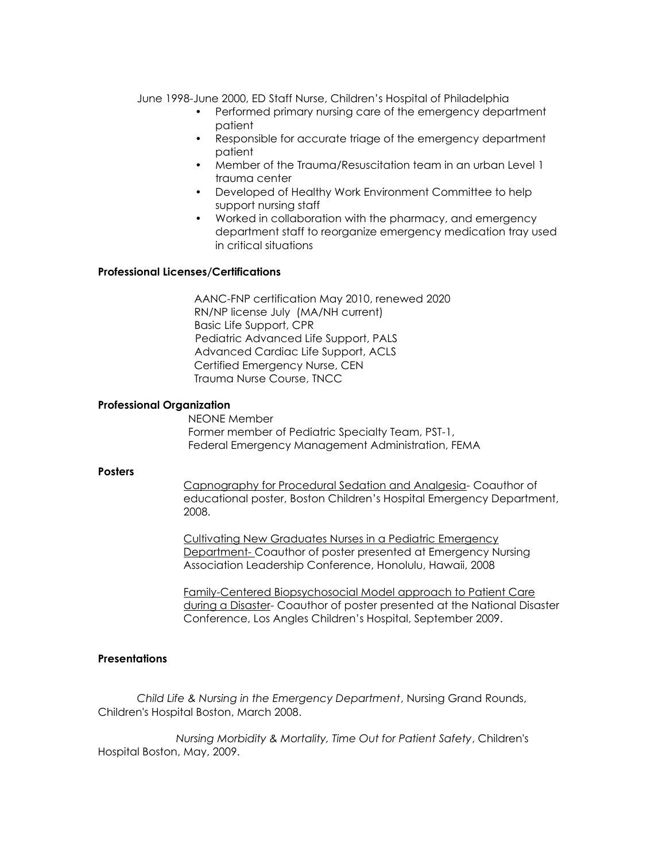June 1998-June 2000, ED Staff Nurse, Children's Hospital of Philadelphia

- Performed primary nursing care of the emergency department patient
- Responsible for accurate triage of the emergency department patient
- Member of the Trauma/Resuscitation team in an urban Level 1 trauma center
- Developed of Healthy Work Environment Committee to help support nursing staff
- Worked in collaboration with the pharmacy, and emergency department staff to reorganize emergency medication tray used in critical situations

## **Professional Licenses/Certifications**

 AANC-FNP certification May 2010, renewed 2020 RN/NP license July (MA/NH current) Basic Life Support, CPR Pediatric Advanced Life Support, PALS Advanced Cardiac Life Support, ACLS Certified Emergency Nurse, CEN Trauma Nurse Course, TNCC

#### **Professional Organization**

 NEONE Member Former member of Pediatric Specialty Team, PST-1, Federal Emergency Management Administration, FEMA

## **Posters**

Capnography for Procedural Sedation and Analgesia- Coauthor of educational poster, Boston Children's Hospital Emergency Department, 2008.

Cultivating New Graduates Nurses in a Pediatric Emergency Department- Coauthor of poster presented at Emergency Nursing Association Leadership Conference, Honolulu, Hawaii, 2008

Family-Centered Biopsychosocial Model approach to Patient Care during a Disaster- Coauthor of poster presented at the National Disaster Conference, Los Angles Children's Hospital, September 2009.

## **Presentations**

*Child Life & Nursing in the Emergency Department*, Nursing Grand Rounds, Children's Hospital Boston, March 2008.

*Nursing Morbidity & Mortality, Time Out for Patient Safety*, Children's Hospital Boston, May, 2009.